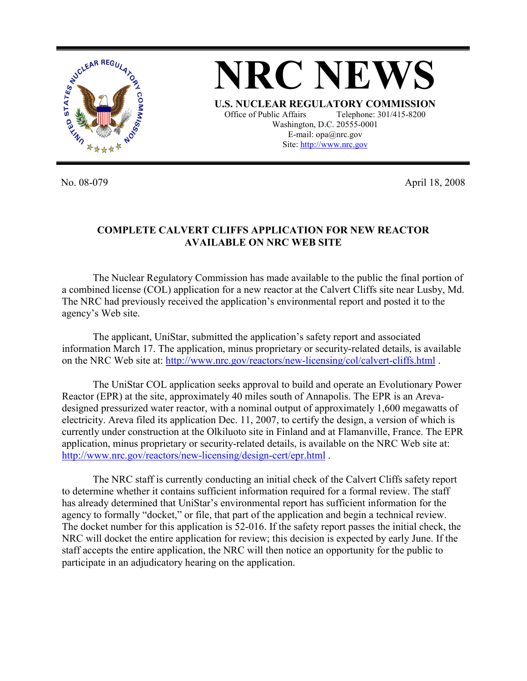

No. 08-079 April 18, 2008

## **COMPLETE CALVERT CLIFFS APPLICATION FOR NEW REACTOR AVAILABLE ON NRC WEB SITE**

The Nuclear Regulatory Commission has made available to the public the final portion of a combined license (COL) application for a new reactor at the Calvert Cliffs site near Lusby, Md. The NRC had previously received the application's environmental report and posted it to the agency's Web site.

The applicant, UniStar, submitted the application's safety report and associated information March 17. The application, minus proprietary or security-related details, is available on the NRC Web site at: http://www.nrc.gov/reactors/new-licensing/col/calvert-cliffs.html .

The UniStar COL application seeks approval to build and operate an Evolutionary Power Reactor (EPR) at the site, approximately 40 miles south of Annapolis. The EPR is an Arevadesigned pressurized water reactor, with a nominal output of approximately 1,600 megawatts of electricity. Areva filed its application Dec. 11, 2007, to certify the design, a version of which is currently under construction at the Olkiluoto site in Finland and at Flamanville, France. The EPR application, minus proprietary or security-related details, is available on the NRC Web site at: http://www.nrc.gov/reactors/new-licensing/design-cert/epr.html .

The NRC staff is currently conducting an initial check of the Calvert Cliffs safety report to determine whether it contains sufficient information required for a formal review. The staff has already determined that UniStar's environmental report has sufficient information for the agency to formally "docket," or file, that part of the application and begin a technical review. The docket number for this application is 52-016. If the safety report passes the initial check, the NRC will docket the entire application for review; this decision is expected by early June. If the staff accepts the entire application, the NRC will then notice an opportunity for the public to participate in an adjudicatory hearing on the application.